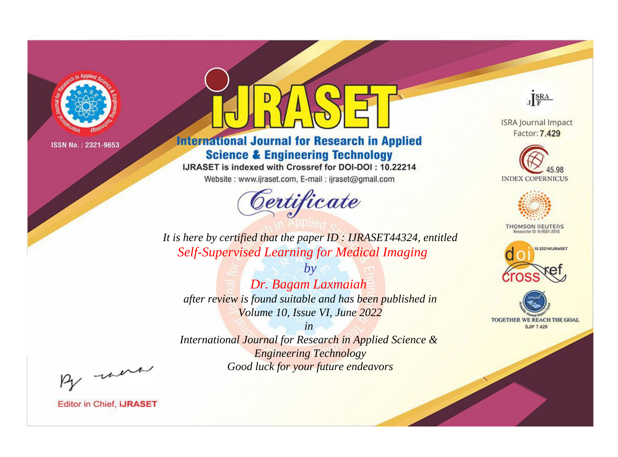

# **International Journal for Research in Applied Science & Engineering Technology**

IJRASET is indexed with Crossref for DOI-DOI : 10.22214

Website: www.ijraset.com, E-mail: ijraset@gmail.com



JERA

**ISRA Journal Impact** Factor: 7.429





**THOMSON REUTERS** 



TOGETHER WE REACH THE GOAL **SJIF 7.429** 

It is here by certified that the paper ID: IJRASET44324, entitled **Self-Supervised Learning for Medical Imaging** 

Dr. Bagam Laxmaiah after review is found suitable and has been published in Volume 10, Issue VI, June 2022

 $b\nu$ 

 $in$ International Journal for Research in Applied Science & **Engineering Technology** Good luck for your future endeavors

By morn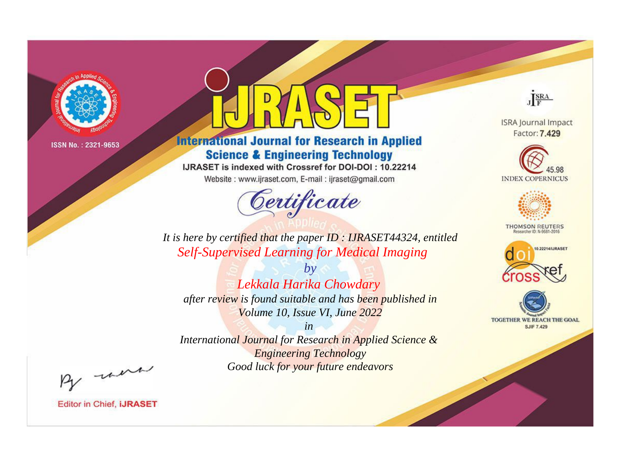

# **International Journal for Research in Applied Science & Engineering Technology**

IJRASET is indexed with Crossref for DOI-DOI: 10.22214

Website: www.ijraset.com, E-mail: ijraset@gmail.com



JERA

**ISRA Journal Impact** Factor: 7.429





**THOMSON REUTERS** 



TOGETHER WE REACH THE GOAL **SJIF 7.429** 

It is here by certified that the paper ID: IJRASET44324, entitled **Self-Supervised Learning for Medical Imaging** 

 $b\nu$ Lekkala Harika Chowdary after review is found suitable and has been published in Volume 10, Issue VI, June 2022

 $in$ International Journal for Research in Applied Science & **Engineering Technology** Good luck for your future endeavors

By morn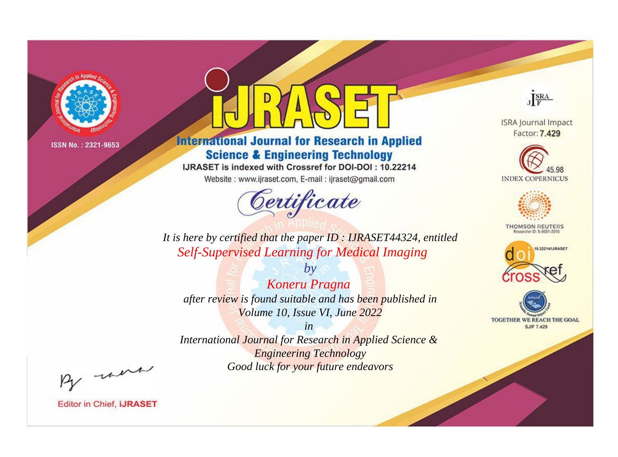

# **International Journal for Research in Applied Science & Engineering Technology**

IJRASET is indexed with Crossref for DOI-DOI: 10.22214

Website: www.ijraset.com, E-mail: ijraset@gmail.com



JERA

**ISRA Journal Impact** Factor: 7.429





**THOMSON REUTERS** 



TOGETHER WE REACH THE GOAL **SJIF 7.429** 

It is here by certified that the paper ID: IJRASET44324, entitled **Self-Supervised Learning for Medical Imaging** 

Koneru Pragna after review is found suitable and has been published in Volume 10, Issue VI, June 2022

 $b\nu$ 

 $in$ International Journal for Research in Applied Science & **Engineering Technology** Good luck for your future endeavors

By morn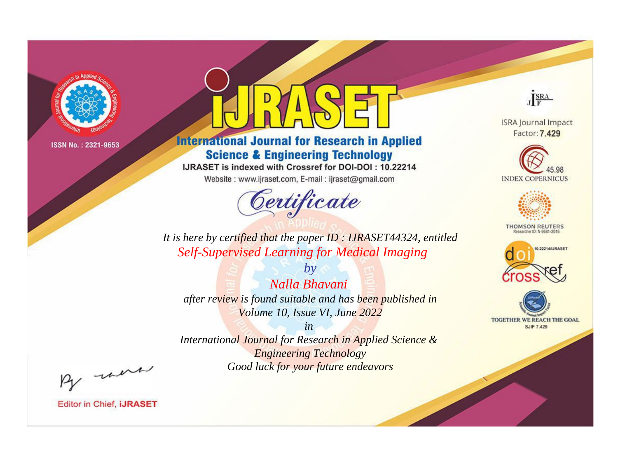

# **International Journal for Research in Applied Science & Engineering Technology**

IJRASET is indexed with Crossref for DOI-DOI: 10.22214

Website: www.ijraset.com, E-mail: ijraset@gmail.com



JERA

**ISRA Journal Impact** Factor: 7.429





**THOMSON REUTERS** 



TOGETHER WE REACH THE GOAL **SJIF 7.429** 

It is here by certified that the paper ID: IJRASET44324, entitled **Self-Supervised Learning for Medical Imaging** 

Nalla Bhavani after review is found suitable and has been published in Volume 10, Issue VI, June 2022

 $b\nu$ 

 $in$ International Journal for Research in Applied Science & **Engineering Technology** Good luck for your future endeavors

By morn